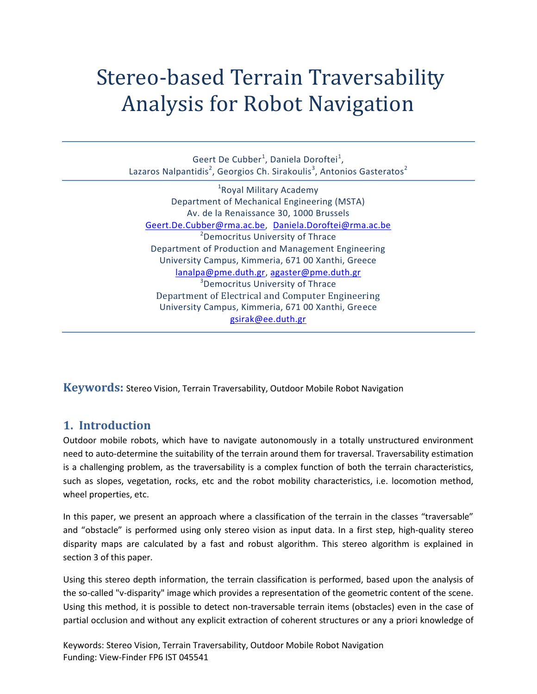# Stereo-based Terrain Traversability Analysis for Robot Navigation

Geert De Cubber<sup>1</sup>, Daniela Doroftei<sup>1</sup>, Lazaros Nalpantidis<sup>2</sup>, Georgios Ch. Sirakoulis<sup>3</sup>, Antonios Gasteratos<sup>2</sup>

<sup>1</sup> Royal Military Academy Department of Mechanical Engineering (MSTA) Av. de la Renaissance 30, 1000 Brussels [Geert.De.Cubber@rma.ac.be,](mailto:Geert.De.Cubber@rma.ac.be) [Daniela.Doroftei@rma.ac.be](mailto:Daniela.Doroftei@rma.ac.be) <sup>2</sup>Democritus University of Thrace Department of Production and Management Engineeri[ng](mailto:lanalpa@pme.duth.gr,%20agaster@pme.duth.gr) University Campus, Kimmeria, 671 00 Xanthi, Greece [lanalpa@pme.duth.gr,](mailto:lanalpa@pme.duth.gr,%20agaster@pme.duth.gr) [agaster@pme.duth.gr](mailto:agaster@pme.duth.gr) <sup>3</sup>Democritus University of Thrace Department of Electrical and Computer Engineering University Campus, Kimmeria, 671 00 Xanthi, Greece [gsirak@ee.duth.gr](mailto:gsirak@ee.duth.gr)

**Keywords:** Stereo Vision, Terrain Traversability, Outdoor Mobile Robot Navigation

## **1. Introduction**

Outdoor mobile robots, which have to navigate autonomously in a totally unstructured environment need to auto-determine the suitability of the terrain around them for traversal. Traversability estimation is a challenging problem, as the traversability is a complex function of both the terrain characteristics, such as slopes, vegetation, rocks, etc and the robot mobility characteristics, i.e. locomotion method, wheel properties, etc.

In this paper, we present an approach where a classification of the terrain in the classes "traversable" and "obstacle" is performed using only stereo vision as input data. In a first step, high-quality stereo disparity maps are calculated by a fast and robust algorithm. This stereo algorithm is explained in section 3 of this paper.

Using this stereo depth information, the terrain classification is performed, based upon the analysis of the so-called "v-disparity" image which provides a representation of the geometric content of the scene. Using this method, it is possible to detect non-traversable terrain items (obstacles) even in the case of partial occlusion and without any explicit extraction of coherent structures or any a priori knowledge of

Keywords: Stereo Vision, Terrain Traversability, Outdoor Mobile Robot Navigation Funding: View-Finder FP6 IST 045541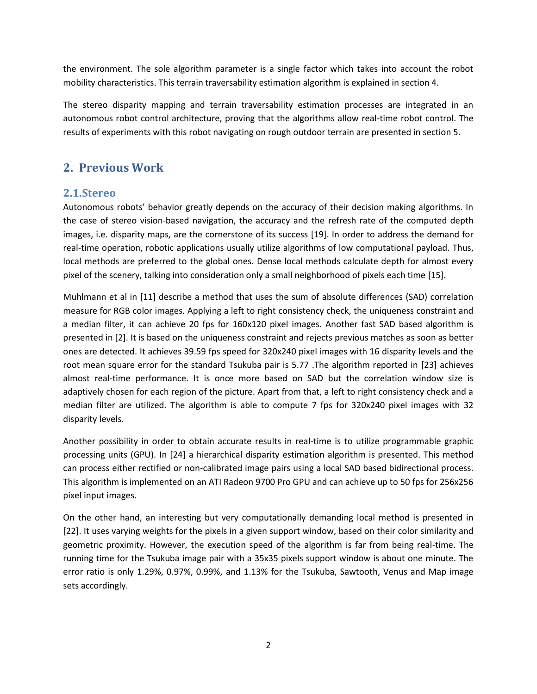the environment. The sole algorithm parameter is a single factor which takes into account the robot mobility characteristics. This terrain traversability estimation algorithm is explained in section 4.

The stereo disparity mapping and terrain traversability estimation processes are integrated in an autonomous robot control architecture, proving that the algorithms allow real-time robot control. The results of experiments with this robot navigating on rough outdoor terrain are presented in section 5.

## **2. Previous Work**

### **2.1.Stereo**

Autonomous robots' behavior greatly depends on the accuracy of their decision making algorithms. In the case of stereo vision-based navigation, the accuracy and the refresh rate of the computed depth images, i.e. disparity maps, are the cornerstone of its success [\[19\].](#page-8-0) In order to address the demand for real-time operation, robotic applications usually utilize algorithms of low computational payload. Thus, local methods are preferred to the global ones. Dense local methods calculate depth for almost every pixel of the scenery, talking into consideration only a small neighborhood of pixels each time [\[15\].](#page-8-1)

Muhlmann et al in [\[11\]](#page-8-2) describe a method that uses the sum of absolute differences (SAD) correlation measure for RGB color images. Applying a left to right consistency check, the uniqueness constraint and a median filter, it can achieve 20 fps for 160x120 pixel images. Another fast SAD based algorithm is presented in [\[2\].](#page-7-0) It is based on the uniqueness constraint and rejects previous matches as soon as better ones are detected. It achieves 39.59 fps speed for 320x240 pixel images with 16 disparity levels and the root mean square error for the standard Tsukuba pair is 5.77 .The algorithm reported in [\[23\]](#page-8-3) achieves almost real-time performance. It is once more based on SAD but the correlation window size is adaptively chosen for each region of the picture. Apart from that, a left to right consistency check and a median filter are utilized. The algorithm is able to compute 7 fps for 320x240 pixel images with 32 disparity levels.

Another possibility in order to obtain accurate results in real-time is to utilize programmable graphic processing units (GPU). In [\[24\]](#page-8-4) a hierarchical disparity estimation algorithm is presented. This method can process either rectified or non-calibrated image pairs using a local SAD based bidirectional process. This algorithm is implemented on an ATI Radeon 9700 Pro GPU and can achieve up to 50 fps for 256x256 pixel input images.

On the other hand, an interesting but very computationally demanding local method is presented in [\[22\].](#page-8-5) It uses varying weights for the pixels in a given support window, based on their color similarity and geometric proximity. However, the execution speed of the algorithm is far from being real-time. The running time for the Tsukuba image pair with a 35x35 pixels support window is about one minute. The error ratio is only 1.29%, 0.97%, 0.99%, and 1.13% for the Tsukuba, Sawtooth, Venus and Map image sets accordingly.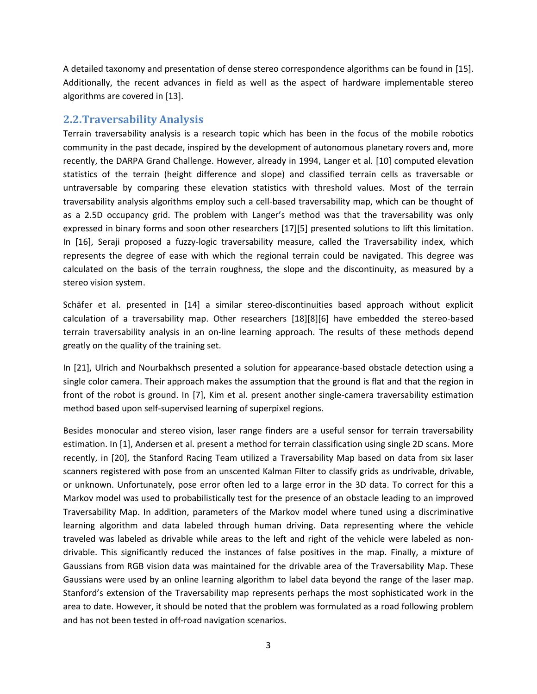A detailed taxonomy and presentation of dense stereo correspondence algorithms can be found in [\[15\].](#page-8-1) Additionally, the recent advances in field as well as the aspect of hardware implementable stereo algorithms are covered i[n \[13\].](#page-8-6)

## **2.2.Traversability Analysis**

Terrain traversability analysis is a research topic which has been in the focus of the mobile robotics community in the past decade, inspired by the development of autonomous planetary rovers and, more recently, the DARPA Grand Challenge. However, already in 1994, Langer et al. [\[10\]](#page-8-7) computed elevation statistics of the terrain (height difference and slope) and classified terrain cells as traversable or untraversable by comparing these elevation statistics with threshold values. Most of the terrain traversability analysis algorithms employ such a cell-based traversability map, which can be thought of as a 2.5D occupancy grid. The problem with Langer's method was that the traversability was only expressed in binary forms and soon other researchers [\[17\]\[5\]](#page-8-8) presented solutions to lift this limitation. In [\[16\],](#page-8-9) Seraji proposed a fuzzy-logic traversability measure, called the Traversability index, which represents the degree of ease with which the regional terrain could be navigated. This degree was calculated on the basis of the terrain roughness, the slope and the discontinuity, as measured by a stereo vision system.

Schäfer et al. presented in [\[14\]](#page-8-10) a similar stereo-discontinuities based approach without explicit calculation of a traversability map. Other researchers [\[18\]\[8\]](#page-8-11)[\[6\]](#page-7-1) have embedded the stereo-based terrain traversability analysis in an on-line learning approach. The results of these methods depend greatly on the quality of the training set.

In [\[21\],](#page-8-12) Ulrich and Nourbakhsch presented a solution for appearance-based obstacle detection using a single color camera. Their approach makes the assumption that the ground is flat and that the region in front of the robot is ground. In [\[7\],](#page-8-13) Kim et al. present another single-camera traversability estimation method based upon self-supervised learning of superpixel regions.

Besides monocular and stereo vision, laser range finders are a useful sensor for terrain traversability estimation. In [\[1\],](#page-7-2) Andersen et al. present a method for terrain classification using single 2D scans. More recently, in [\[20\],](#page-8-14) the Stanford Racing Team utilized a Traversability Map based on data from six laser scanners registered with pose from an unscented Kalman Filter to classify grids as undrivable, drivable, or unknown. Unfortunately, pose error often led to a large error in the 3D data. To correct for this a Markov model was used to probabilistically test for the presence of an obstacle leading to an improved Traversability Map. In addition, parameters of the Markov model where tuned using a discriminative learning algorithm and data labeled through human driving. Data representing where the vehicle traveled was labeled as drivable while areas to the left and right of the vehicle were labeled as nondrivable. This significantly reduced the instances of false positives in the map. Finally, a mixture of Gaussians from RGB vision data was maintained for the drivable area of the Traversability Map. These Gaussians were used by an online learning algorithm to label data beyond the range of the laser map. Stanford's extension of the Traversability map represents perhaps the most sophisticated work in the area to date. However, it should be noted that the problem was formulated as a road following problem and has not been tested in off-road navigation scenarios.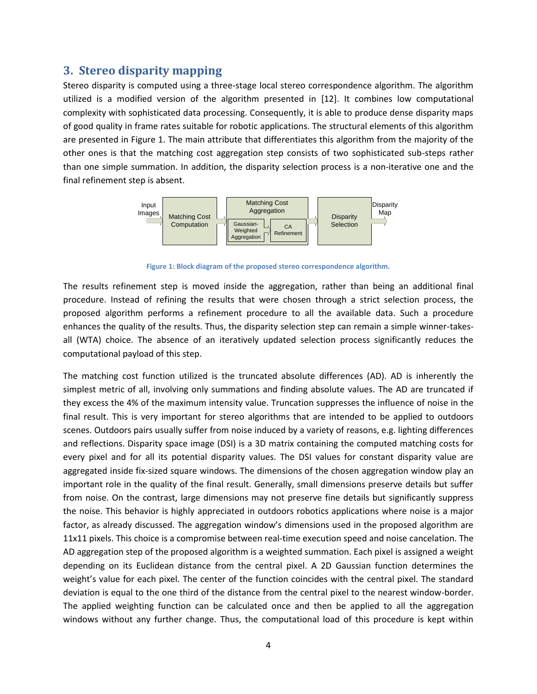### **3. Stereo disparity mapping**

Stereo disparity is computed using a three-stage local stereo correspondence algorithm. The algorithm utilized is a modified version of the algorithm presented in [\[12\].](#page-8-15) It combines low computational complexity with sophisticated data processing. Consequently, it is able to produce dense disparity maps of good quality in frame rates suitable for robotic applications. The structural elements of this algorithm are presented in [Figure 1.](#page-3-0) The main attribute that differentiates this algorithm from the majority of the other ones is that the matching cost aggregation step consists of two sophisticated sub-steps rather than one simple summation. In addition, the disparity selection process is a non-iterative one and the final refinement step is absent.



**Figure 1: Block diagram of the proposed stereo correspondence algorithm.**

<span id="page-3-0"></span>The results refinement step is moved inside the aggregation, rather than being an additional final procedure. Instead of refining the results that were chosen through a strict selection process, the proposed algorithm performs a refinement procedure to all the available data. Such a procedure enhances the quality of the results. Thus, the disparity selection step can remain a simple winner-takesall (WTA) choice. The absence of an iteratively updated selection process significantly reduces the computational payload of this step.

The matching cost function utilized is the truncated absolute differences (AD). AD is inherently the simplest metric of all, involving only summations and finding absolute values. The AD are truncated if they excess the 4% of the maximum intensity value. Truncation suppresses the influence of noise in the final result. This is very important for stereo algorithms that are intended to be applied to outdoors scenes. Outdoors pairs usually suffer from noise induced by a variety of reasons, e.g. lighting differences and reflections. Disparity space image (DSI) is a 3D matrix containing the computed matching costs for every pixel and for all its potential disparity values. The DSI values for constant disparity value are aggregated inside fix-sized square windows. The dimensions of the chosen aggregation window play an important role in the quality of the final result. Generally, small dimensions preserve details but suffer from noise. On the contrast, large dimensions may not preserve fine details but significantly suppress the noise. This behavior is highly appreciated in outdoors robotics applications where noise is a major factor, as already discussed. The aggregation window's dimensions used in the proposed algorithm are 11x11 pixels. This choice is a compromise between real-time execution speed and noise cancelation. The AD aggregation step of the proposed algorithm is a weighted summation. Each pixel is assigned a weight depending on its Euclidean distance from the central pixel. A 2D Gaussian function determines the weight's value for each pixel. The center of the function coincides with the central pixel. The standard deviation is equal to the one third of the distance from the central pixel to the nearest window-border. The applied weighting function can be calculated once and then be applied to all the aggregation windows without any further change. Thus, the computational load of this procedure is kept within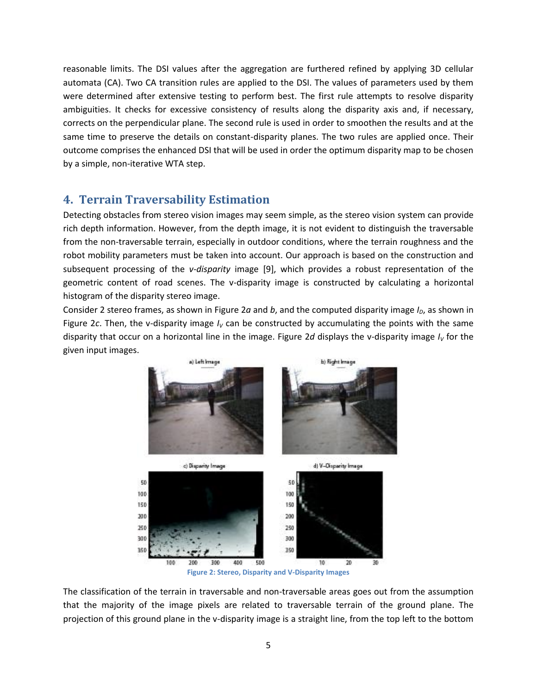reasonable limits. The DSI values after the aggregation are furthered refined by applying 3D cellular automata (CA). Two CA transition rules are applied to the DSI. The values of parameters used by them were determined after extensive testing to perform best. The first rule attempts to resolve disparity ambiguities. It checks for excessive consistency of results along the disparity axis and, if necessary, corrects on the perpendicular plane. The second rule is used in order to smoothen the results and at the same time to preserve the details on constant-disparity planes. The two rules are applied once. Their outcome comprises the enhanced DSI that will be used in order the optimum disparity map to be chosen by a simple, non-iterative WTA step.

## **4. Terrain Traversability Estimation**

Detecting obstacles from stereo vision images may seem simple, as the stereo vision system can provide rich depth information. However, from the depth image, it is not evident to distinguish the traversable from the non-traversable terrain, especially in outdoor conditions, where the terrain roughness and the robot mobility parameters must be taken into account. Our approach is based on the construction and subsequent processing of the *v-disparity* image [\[9\],](#page-8-16) which provides a robust representation of the geometric content of road scenes. The v-disparity image is constructed by calculating a horizontal histogram of the disparity stereo image.

Consider 2 stereo frames, as shown i[n Figure 2](#page-4-0)*a* and *b*, and the computed disparity image  $I<sub>D</sub>$ , as shown in [Figure 2](#page-4-0)c. Then, the v-disparity image  $I_V$  can be constructed by accumulating the points with the same disparity that occur on a horizontal line in the image. [Figure 2](#page-4-0)*d* displays the v-disparity image *I<sup>V</sup>* for the given input images.



<span id="page-4-0"></span>The classification of the terrain in traversable and non-traversable areas goes out from the assumption that the majority of the image pixels are related to traversable terrain of the ground plane. The projection of this ground plane in the v-disparity image is a straight line, from the top left to the bottom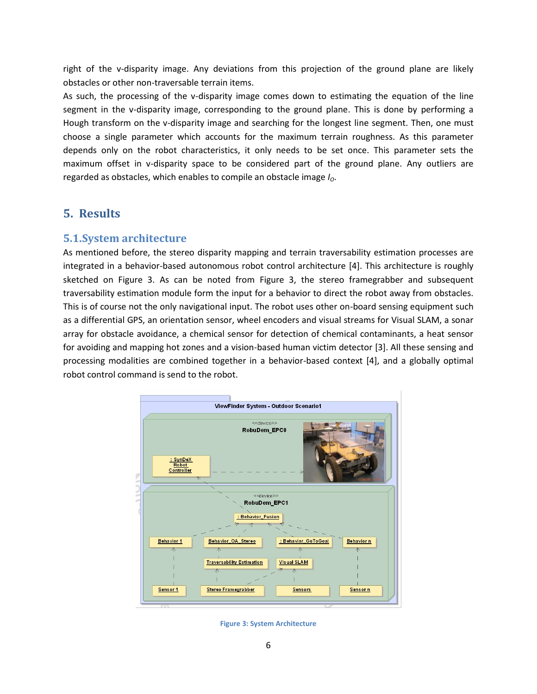right of the v-disparity image. Any deviations from this projection of the ground plane are likely obstacles or other non-traversable terrain items.

As such, the processing of the v-disparity image comes down to estimating the equation of the line segment in the v-disparity image, corresponding to the ground plane. This is done by performing a Hough transform on the v-disparity image and searching for the longest line segment. Then, one must choose a single parameter which accounts for the maximum terrain roughness. As this parameter depends only on the robot characteristics, it only needs to be set once. This parameter sets the maximum offset in v-disparity space to be considered part of the ground plane. Any outliers are regarded as obstacles, which enables to compile an obstacle image *IO*.

## **5. Results**

#### **5.1.System architecture**

As mentioned before, the stereo disparity mapping and terrain traversability estimation processes are integrated in a behavior-based autonomous robot control architecture [\[4\].](#page-7-3) This architecture is roughly sketched on [Figure 3.](#page-5-0) As can be noted from [Figure 3,](#page-5-0) the stereo framegrabber and subsequent traversability estimation module form the input for a behavior to direct the robot away from obstacles. This is of course not the only navigational input. The robot uses other on-board sensing equipment such as a differential GPS, an orientation sensor, wheel encoders and visual streams for Visual SLAM, a sonar array for obstacle avoidance, a chemical sensor for detection of chemical contaminants, a heat sensor for avoiding and mapping hot zones and a vision-based human victim detector [\[3\].](#page-7-4) All these sensing and processing modalities are combined together in a behavior-based context [\[4\],](#page-7-3) and a globally optimal robot control command is send to the robot.



<span id="page-5-0"></span>**Figure 3: System Architecture**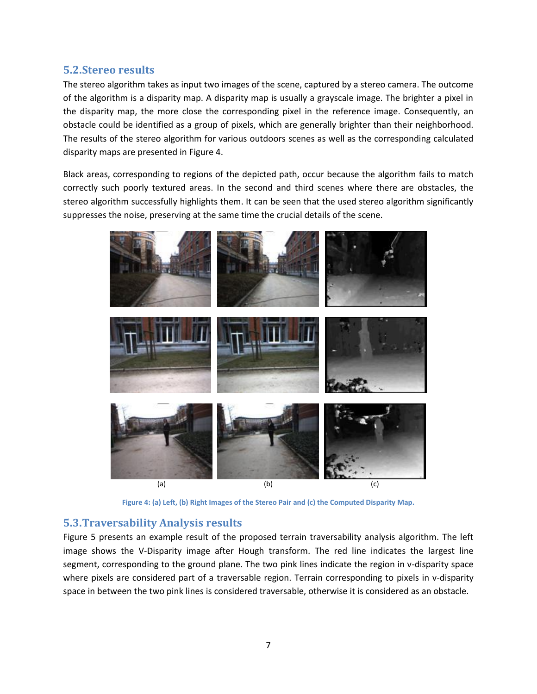### **5.2.Stereo results**

The stereo algorithm takes as input two images of the scene, captured by a stereo camera. The outcome of the algorithm is a disparity map. A disparity map is usually a grayscale image. The brighter a pixel in the disparity map, the more close the corresponding pixel in the reference image. Consequently, an obstacle could be identified as a group of pixels, which are generally brighter than their neighborhood. The results of the stereo algorithm for various outdoors scenes as well as the corresponding calculated disparity maps are presented i[n Figure 4.](#page-6-0)

Black areas, corresponding to regions of the depicted path, occur because the algorithm fails to match correctly such poorly textured areas. In the second and third scenes where there are obstacles, the stereo algorithm successfully highlights them. It can be seen that the used stereo algorithm significantly suppresses the noise, preserving at the same time the crucial details of the scene.



**Figure 4: (a) Left, (b) Right Images of the Stereo Pair and (c) the Computed Disparity Map.**

#### <span id="page-6-0"></span>**5.3.Traversability Analysis results**

[Figure 5](#page-7-5) presents an example result of the proposed terrain traversability analysis algorithm. The left image shows the V-Disparity image after Hough transform. The red line indicates the largest line segment, corresponding to the ground plane. The two pink lines indicate the region in v-disparity space where pixels are considered part of a traversable region. Terrain corresponding to pixels in v-disparity space in between the two pink lines is considered traversable, otherwise it is considered as an obstacle.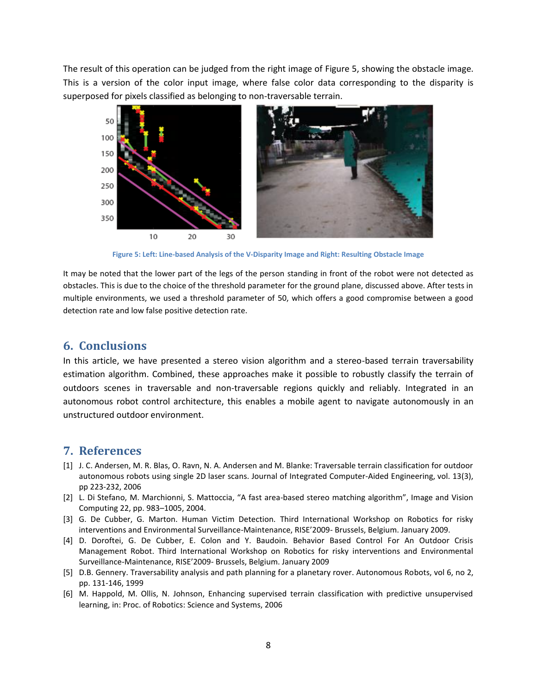The result of this operation can be judged from the right image of [Figure 5,](#page-7-5) showing the obstacle image. This is a version of the color input image, where false color data corresponding to the disparity is superposed for pixels classified as belonging to non-traversable terrain.



**Figure 5: Left: Line-based Analysis of the V-Disparity Image and Right: Resulting Obstacle Image**

<span id="page-7-5"></span>It may be noted that the lower part of the legs of the person standing in front of the robot were not detected as obstacles. This is due to the choice of the threshold parameter for the ground plane, discussed above. After tests in multiple environments, we used a threshold parameter of 50, which offers a good compromise between a good detection rate and low false positive detection rate.

#### **6. Conclusions**

In this article, we have presented a stereo vision algorithm and a stereo-based terrain traversability estimation algorithm. Combined, these approaches make it possible to robustly classify the terrain of outdoors scenes in traversable and non-traversable regions quickly and reliably. Integrated in an autonomous robot control architecture, this enables a mobile agent to navigate autonomously in an unstructured outdoor environment.

## **7. References**

- <span id="page-7-2"></span>[1] J. C. Andersen, M. R. Blas, O. Ravn, N. A. Andersen and M. Blanke: Traversable terrain classification for outdoor autonomous robots using single 2D laser scans. Journal of Integrated Computer-Aided Engineering, vol. 13(3), pp 223-232, 2006
- <span id="page-7-0"></span>[2] L. Di Stefano, M. Marchionni, S. Mattoccia, "A fast area-based stereo matching algorithm", Image and Vision Computing 22, pp. 983–1005, 2004.
- <span id="page-7-4"></span>[3] G. De Cubber, G. Marton. Human Victim Detection. Third International Workshop on Robotics for risky interventions and Environmental Surveillance-Maintenance, RISE'2009- Brussels, Belgium. January 2009.
- <span id="page-7-3"></span>[4] D. Doroftei, G. De Cubber, E. Colon and Y. Baudoin. Behavior Based Control For An Outdoor Crisis Management Robot. Third International Workshop on Robotics for risky interventions and Environmental Surveillance-Maintenance, RISE'2009- Brussels, Belgium. January 2009
- [5] D.B. Gennery. Traversability analysis and path planning for a planetary rover. Autonomous Robots, vol 6, no 2, pp. 131-146, 1999
- <span id="page-7-1"></span>[6] M. Happold, M. Ollis, N. Johnson, Enhancing supervised terrain classification with predictive unsupervised learning, in: Proc. of Robotics: Science and Systems, 2006